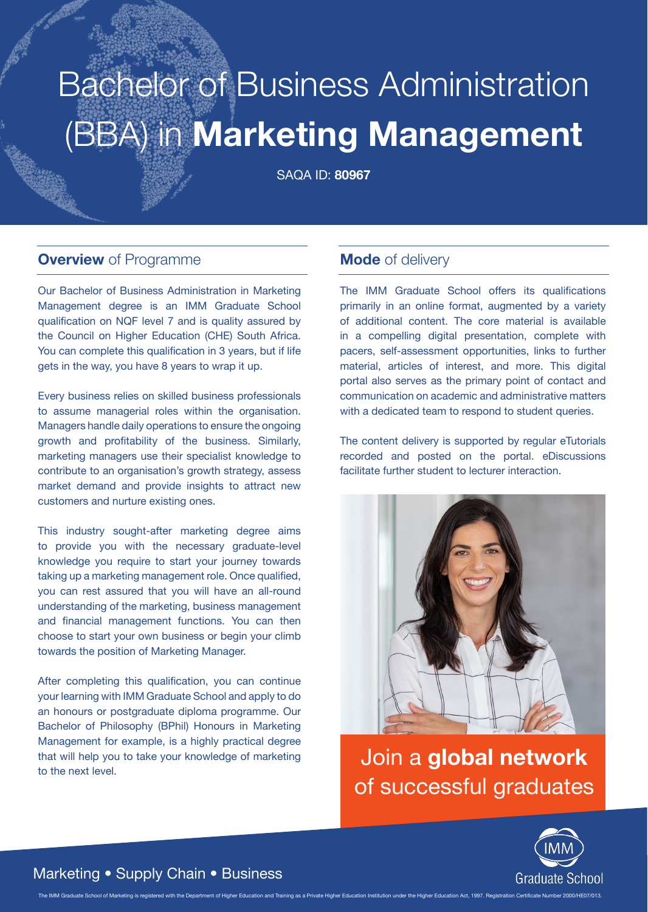# (BBA) in **Marketing Management** Bachelor of Business Administration

SAQA ID: **80967**

#### **Overview** of Programme

Our Bachelor of Business Administration in Marketing Management degree is an IMM Graduate School qualification on NQF level 7 and is quality assured by the Council on Higher Education (CHE) South Africa. You can complete this qualification in 3 years, but if life gets in the way, you have 8 years to wrap it up.

Every business relies on skilled business professionals to assume managerial roles within the organisation. Managers handle daily operations to ensure the ongoing growth and profitability of the business. Similarly, marketing managers use their specialist knowledge to contribute to an organisation's growth strategy, assess market demand and provide insights to attract new customers and nurture existing ones.

This industry sought-after marketing degree aims to provide you with the necessary graduate-level knowledge you require to start your journey towards taking up a marketing management role. Once qualified, you can rest assured that you will have an all-round understanding of the marketing, business management and financial management functions. You can then choose to start your own business or begin your climb towards the position of Marketing Manager.

After completing this qualification, you can continue your learning with IMM Graduate School and apply to do an honours or postgraduate diploma programme. Our Bachelor of Philosophy (BPhil) Honours in Marketing Management for example, is a highly practical degree that will help you to take your knowledge of marketing to the next level.

#### **Mode** of delivery

The IMM Graduate School offers its qualifications primarily in an online format, augmented by a variety of additional content. The core material is available in a compelling digital presentation, complete with pacers, self-assessment opportunities, links to further material, articles of interest, and more. This digital portal also serves as the primary point of contact and communication on academic and administrative matters with a dedicated team to respond to student queries.

The content delivery is supported by regular eTutorials recorded and posted on the portal. eDiscussions facilitate further student to lecturer interaction.



Join a **global network** of successful graduates



#### Marketing • Supply Chain • Business

The IMM Graduate School of Marketing is registered with the Department of Higher Education and Training as a Private Higher Education Institution under the Higher Education Act. 1997. Registration Certificate Number 2000/H